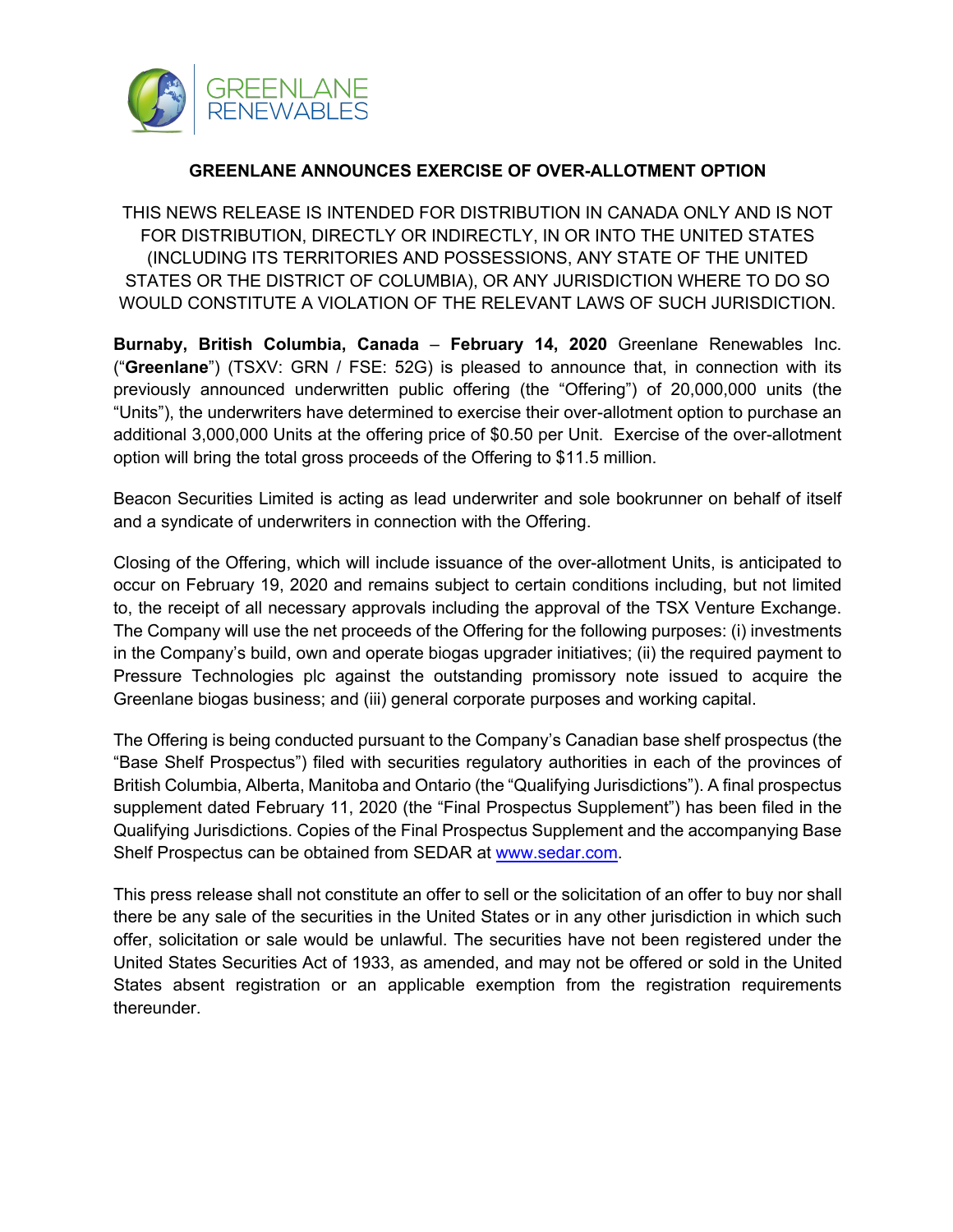

## **GREENLANE ANNOUNCES EXERCISE OF OVER-ALLOTMENT OPTION**

THIS NEWS RELEASE IS INTENDED FOR DISTRIBUTION IN CANADA ONLY AND IS NOT FOR DISTRIBUTION, DIRECTLY OR INDIRECTLY, IN OR INTO THE UNITED STATES (INCLUDING ITS TERRITORIES AND POSSESSIONS, ANY STATE OF THE UNITED STATES OR THE DISTRICT OF COLUMBIA), OR ANY JURISDICTION WHERE TO DO SO WOULD CONSTITUTE A VIOLATION OF THE RELEVANT LAWS OF SUCH JURISDICTION.

**Burnaby, British Columbia, Canada** – **February 14, 2020** Greenlane Renewables Inc. ("**Greenlane**") (TSXV: GRN / FSE: 52G) is pleased to announce that, in connection with its previously announced underwritten public offering (the "Offering") of 20,000,000 units (the "Units"), the underwriters have determined to exercise their over-allotment option to purchase an additional 3,000,000 Units at the offering price of \$0.50 per Unit. Exercise of the over-allotment option will bring the total gross proceeds of the Offering to \$11.5 million.

Beacon Securities Limited is acting as lead underwriter and sole bookrunner on behalf of itself and a syndicate of underwriters in connection with the Offering.

Closing of the Offering, which will include issuance of the over-allotment Units, is anticipated to occur on February 19, 2020 and remains subject to certain conditions including, but not limited to, the receipt of all necessary approvals including the approval of the TSX Venture Exchange. The Company will use the net proceeds of the Offering for the following purposes: (i) investments in the Company's build, own and operate biogas upgrader initiatives; (ii) the required payment to Pressure Technologies plc against the outstanding promissory note issued to acquire the Greenlane biogas business; and (iii) general corporate purposes and working capital.

The Offering is being conducted pursuant to the Company's Canadian base shelf prospectus (the "Base Shelf Prospectus") filed with securities regulatory authorities in each of the provinces of British Columbia, Alberta, Manitoba and Ontario (the "Qualifying Jurisdictions"). A final prospectus supplement dated February 11, 2020 (the "Final Prospectus Supplement") has been filed in the Qualifying Jurisdictions. Copies of the Final Prospectus Supplement and the accompanying Base Shelf Prospectus can be obtained from SEDAR at www.sedar.com.

This press release shall not constitute an offer to sell or the solicitation of an offer to buy nor shall there be any sale of the securities in the United States or in any other jurisdiction in which such offer, solicitation or sale would be unlawful. The securities have not been registered under the United States Securities Act of 1933, as amended, and may not be offered or sold in the United States absent registration or an applicable exemption from the registration requirements thereunder.